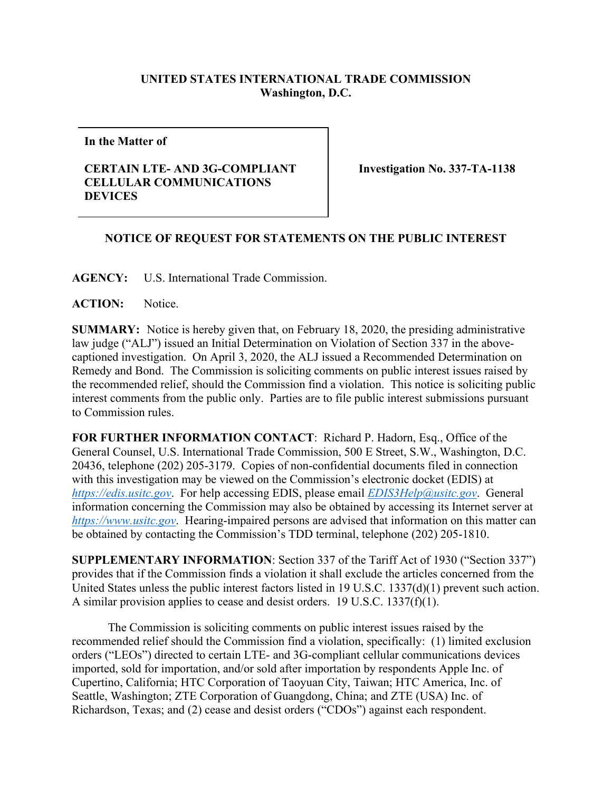## **UNITED STATES INTERNATIONAL TRADE COMMISSION Washington, D.C.**

**In the Matter of**

## **CERTAIN LTE- AND 3G-COMPLIANT CELLULAR COMMUNICATIONS DEVICES**

**Investigation No. 337-TA-1138**

## **NOTICE OF REQUEST FOR STATEMENTS ON THE PUBLIC INTEREST**

**AGENCY:** U.S. International Trade Commission.

**ACTION:** Notice.

**SUMMARY:** Notice is hereby given that, on February 18, 2020, the presiding administrative law judge ("ALJ") issued an Initial Determination on Violation of Section 337 in the abovecaptioned investigation. On April 3, 2020, the ALJ issued a Recommended Determination on Remedy and Bond. The Commission is soliciting comments on public interest issues raised by the recommended relief, should the Commission find a violation. This notice is soliciting public interest comments from the public only. Parties are to file public interest submissions pursuant to Commission rules.

**FOR FURTHER INFORMATION CONTACT**: Richard P. Hadorn, Esq., Office of the General Counsel, U.S. International Trade Commission, 500 E Street, S.W., Washington, D.C. 20436, telephone (202) 205-3179. Copies of non-confidential documents filed in connection with this investigation may be viewed on the Commission's electronic docket (EDIS) at *[https://edis.usitc.gov](https://edis.usitc.gov/)*. For help accessing EDIS, please email *[EDIS3Help@usitc.gov](mailto:EDIS3Help@usitc.gov)*. General information concerning the Commission may also be obtained by accessing its Internet server at *[https://www.usitc.gov](https://www.usitc.gov/)*. Hearing-impaired persons are advised that information on this matter can be obtained by contacting the Commission's TDD terminal, telephone (202) 205-1810.

**SUPPLEMENTARY INFORMATION**: Section 337 of the Tariff Act of 1930 ("Section 337") provides that if the Commission finds a violation it shall exclude the articles concerned from the United States unless the public interest factors listed in 19 U.S.C. 1337(d)(1) prevent such action. A similar provision applies to cease and desist orders. 19 U.S.C. 1337(f)(1).

The Commission is soliciting comments on public interest issues raised by the recommended relief should the Commission find a violation, specifically: (1) limited exclusion orders ("LEOs") directed to certain LTE- and 3G-compliant cellular communications devices imported, sold for importation, and/or sold after importation by respondents Apple Inc. of Cupertino, California; HTC Corporation of Taoyuan City, Taiwan; HTC America, Inc. of Seattle, Washington; ZTE Corporation of Guangdong, China; and ZTE (USA) Inc. of Richardson, Texas; and (2) cease and desist orders ("CDOs") against each respondent.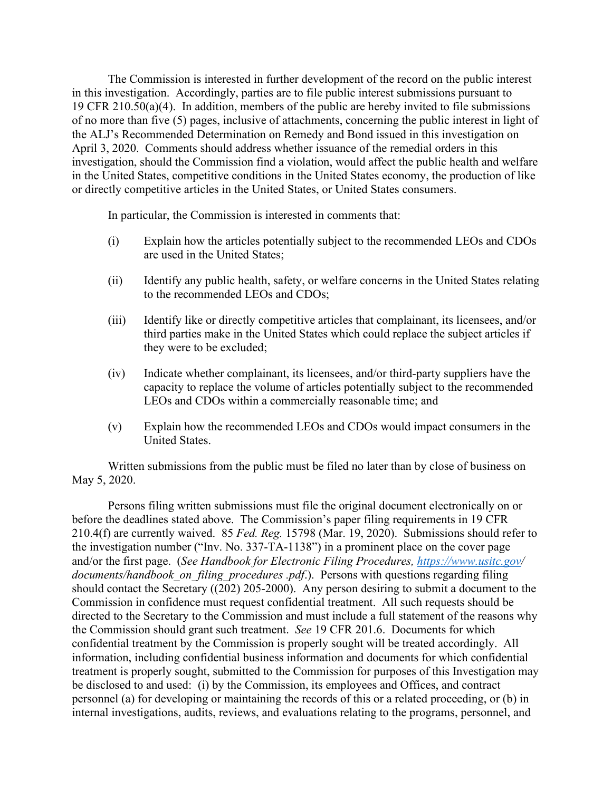The Commission is interested in further development of the record on the public interest in this investigation. Accordingly, parties are to file public interest submissions pursuant to 19 CFR 210.50(a)(4). In addition, members of the public are hereby invited to file submissions of no more than five (5) pages, inclusive of attachments, concerning the public interest in light of the ALJ's Recommended Determination on Remedy and Bond issued in this investigation on April 3, 2020. Comments should address whether issuance of the remedial orders in this investigation, should the Commission find a violation, would affect the public health and welfare in the United States, competitive conditions in the United States economy, the production of like or directly competitive articles in the United States, or United States consumers.

In particular, the Commission is interested in comments that:

- (i) Explain how the articles potentially subject to the recommended LEOs and CDOs are used in the United States;
- (ii) Identify any public health, safety, or welfare concerns in the United States relating to the recommended LEOs and CDOs;
- (iii) Identify like or directly competitive articles that complainant, its licensees, and/or third parties make in the United States which could replace the subject articles if they were to be excluded;
- (iv) Indicate whether complainant, its licensees, and/or third-party suppliers have the capacity to replace the volume of articles potentially subject to the recommended LEOs and CDOs within a commercially reasonable time; and
- (v) Explain how the recommended LEOs and CDOs would impact consumers in the United States.

Written submissions from the public must be filed no later than by close of business on May 5, 2020.

Persons filing written submissions must file the original document electronically on or before the deadlines stated above. The Commission's paper filing requirements in 19 CFR 210.4(f) are currently waived. 85 *Fed. Reg.* 15798 (Mar. 19, 2020). Submissions should refer to the investigation number ("Inv. No. 337-TA-1138") in a prominent place on the cover page and/or the first page. (*See Handbook for Electronic Filing Procedures,<https://www.usitc.gov/> documents/handbook\_on\_filing\_procedures .pdf*.). Persons with questions regarding filing should contact the Secretary ((202) 205-2000). Any person desiring to submit a document to the Commission in confidence must request confidential treatment. All such requests should be directed to the Secretary to the Commission and must include a full statement of the reasons why the Commission should grant such treatment. *See* 19 CFR 201.6. Documents for which confidential treatment by the Commission is properly sought will be treated accordingly. All information, including confidential business information and documents for which confidential treatment is properly sought, submitted to the Commission for purposes of this Investigation may be disclosed to and used: (i) by the Commission, its employees and Offices, and contract personnel (a) for developing or maintaining the records of this or a related proceeding, or (b) in internal investigations, audits, reviews, and evaluations relating to the programs, personnel, and